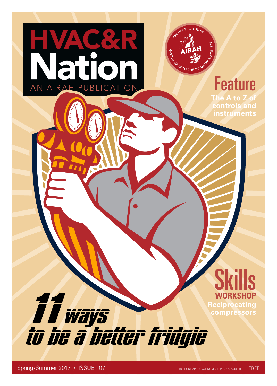

Feature **The A to Z of controls and instruments**





ai

AN AIRAH PUBLICATION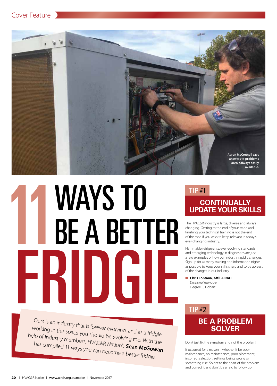



# **MAYS TO<br>HEA BETTER<br>FRIDGIF** FRIDGIE

Ours is an industry that is forever evolving, and as a fridgie working in this space you should be evolving too. With the help of industry members, HVAC&R Nation's **Sean McGowan** has compiled 11 ways you can become a better fridgie.

# TIP #1

# **CONTINUALLY UPDATE YOUR SKILLS**

The HVAC&R industry is large, diverse and always changing. Getting to the end of your trade and finishing your technical training is not the end of the road if you wish to keep relevant in today's ever-changing industry.

Flammable refrigerants, ever-evolving standards and emerging technology in diagnostics are just a few examples of how our industry rapidly changes. Sign up for as many training and information nights as possible to keep your skills sharp and to be abreast of the changes in our industry.

**n** Chris Fontana, Affil.AIRAH *Divisional manager* Degree C, Hobart

# TIP #2

# **BE A PROBLEM SOLVER**

Don't just fix the symptom and not the problem!

It occurred for a reason – whether it be poor maintenance, no maintenance, poor placement, incorrect selection, settings being wrong or something else. So get to the heart of the problem and correct it and don't be afraid to follow up.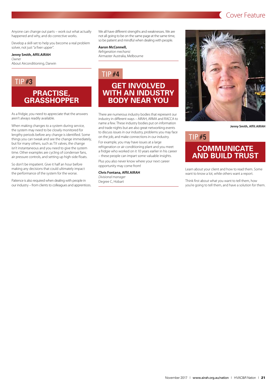# **Cover Feature**

Anyone can change out parts – work out what actually happened and why, and do corrective works.

Develop a skill-set to help you become a real problem solver, not just "a fixer upper".

### **Jenny Smith, Affil.AIRAH**

*Owner* About Airconditioning, Darwin

# **PRACTISE, GRASSHOPPER**

As a fridgie, you need to appreciate that the answers aren't always readily available.

When making changes to a system during service, the system may need to be closely monitored for lengthy periods before any change is identified. Some things you can tweak and see the change immediately, but for many others, such as TX valves, the change isn't instantaneous and you need to give the system time. Other examples are cycling of condenser fans, air pressure controls, and setting up high-side floats.

So don't be impatient. Give it half an hour before making any decisions that could ultimately impact the performance of the system for the worse.

Patience is also required when dealing with people in our industry – from clients to colleagues and apprentices. We all have different strengths and weaknesses. We are not all going to be on the same page at the same time, so be patient and mindful when dealing with people.

### **Aaron McConnell,**

*Refrigeration mechanic* Airmaster Australia, Melbourne

# TIP #4

# TIP #3 **GET INVOLVED WITH AN INDUSTRY BODY NEAR YOU**

There are numerous industry bodies that represent our industry in different ways – AIRAH, ARMA and RACCA to name a few. These industry bodies put on information and trade nights but are also great networking events to discuss issues in our industry, problems you may face on the job, and make connections in our industry.

For example, you may have issues at a large refrigeration or air conditioning plant and you meet a fridgie who worked on it 10 years earlier in his career – these people can impart some valuable insights.

Plus you also never know where your next career opportunity may come from!

**Chris Fontana, Affil.AIRAH** *Divisional manager* Degree C, Hobart



**Jenny Smith, Affil.AIRAH**

# TIP #5

# **COMMUNICATE AND BUILD TRUST**

Learn about your client and how to read them. Some want to know a lot, while others want a report.

Think first about what you want to tell them, how you're going to tell them, and have a solution for them.